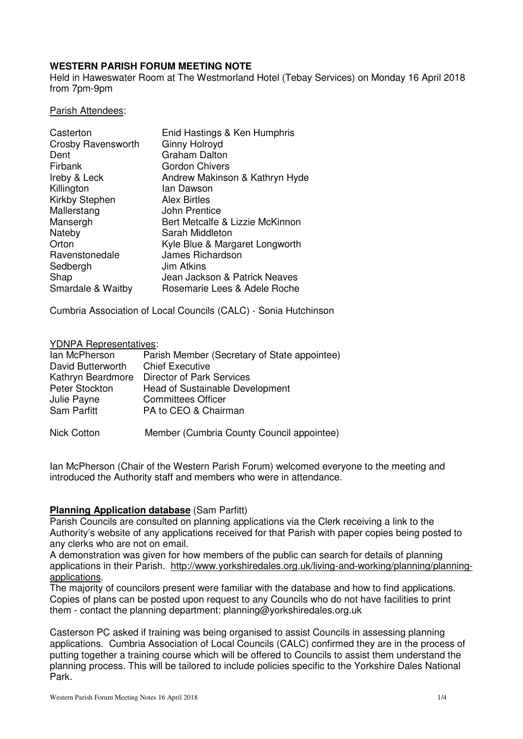## **WESTERN PARISH FORUM MEETING NOTE**

Held in Haweswater Room at The Westmorland Hotel (Tebay Services) on Monday 16 April 2018 from 7pm-9pm

#### Parish Attendees:

| Casterton          | Enid Hastings & Ken Humphris    |
|--------------------|---------------------------------|
| Crosby Ravensworth | <b>Ginny Holroyd</b>            |
| Dent               | <b>Graham Dalton</b>            |
| Firbank            | <b>Gordon Chivers</b>           |
| Ireby & Leck       | Andrew Makinson & Kathryn Hyde  |
| Killington         | lan Dawson                      |
| Kirkby Stephen     | <b>Alex Birtles</b>             |
| Mallerstang        | John Prentice                   |
| Mansergh           | Bert Metcalfe & Lizzie McKinnon |
| Nateby             | Sarah Middleton                 |
| Orton              | Kyle Blue & Margaret Longworth  |
| Ravenstonedale     | James Richardson                |
| Sedbergh           | <b>Jim Atkins</b>               |
| Shap               | Jean Jackson & Patrick Neaves   |
| Smardale & Waitby  | Rosemarie Lees & Adele Roche    |

Cumbria Association of Local Councils (CALC) - Sonia Hutchinson

#### YDNPA Representatives:

| lan McPherson      | Parish Member (Secretary of State appointee) |
|--------------------|----------------------------------------------|
| David Butterworth  | <b>Chief Executive</b>                       |
| Kathryn Beardmore  | Director of Park Services                    |
| Peter Stockton     | <b>Head of Sustainable Development</b>       |
| Julie Payne        | <b>Committees Officer</b>                    |
| Sam Parfitt        | PA to CEO & Chairman                         |
| <b>Nick Cotton</b> | Member (Cumbria County Council appointee)    |

Ian McPherson (Chair of the Western Parish Forum) welcomed everyone to the meeting and introduced the Authority staff and members who were in attendance.

### **Planning Application database** (Sam Parfitt)

Parish Councils are consulted on planning applications via the Clerk receiving a link to the Authority's website of any applications received for that Parish with paper copies being posted to any clerks who are not on email.

A demonstration was given for how members of the public can search for details of planning applications in their Parish. http://www.yorkshiredales.org.uk/living-and-working/planning/planningapplications.

The majority of councilors present were familiar with the database and how to find applications. Copies of plans can be posted upon request to any Councils who do not have facilities to print them - contact the planning department: planning@yorkshiredales.org.uk

Casterson PC asked if training was being organised to assist Councils in assessing planning applications. Cumbria Association of Local Councils (CALC) confirmed they are in the process of putting together a training course which will be offered to Councils to assist them understand the planning process. This will be tailored to include policies specific to the Yorkshire Dales National Park.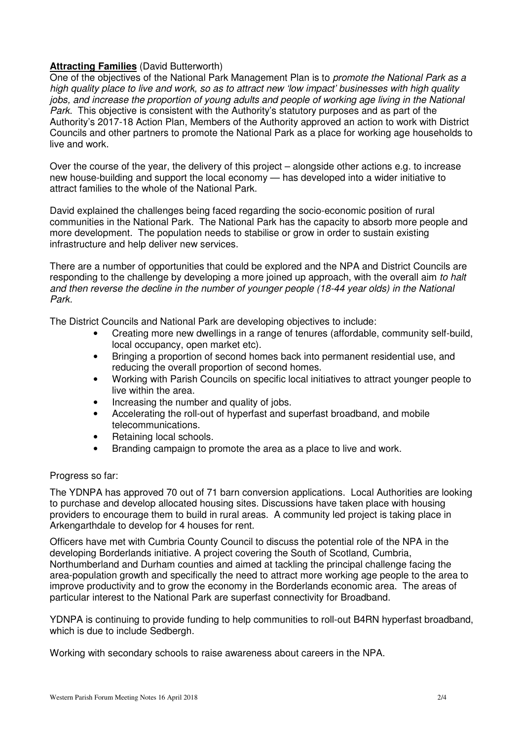## **Attracting Families** (David Butterworth)

One of the objectives of the National Park Management Plan is to *promote the National Park as a* high quality place to live and work, so as to attract new 'low impact' businesses with high quality jobs, and increase the proportion of young adults and people of working age living in the National Park. This objective is consistent with the Authority's statutory purposes and as part of the Authority's 2017-18 Action Plan, Members of the Authority approved an action to work with District Councils and other partners to promote the National Park as a place for working age households to live and work.

Over the course of the year, the delivery of this project – alongside other actions e.g. to increase new house-building and support the local economy — has developed into a wider initiative to attract families to the whole of the National Park.

David explained the challenges being faced regarding the socio-economic position of rural communities in the National Park. The National Park has the capacity to absorb more people and more development. The population needs to stabilise or grow in order to sustain existing infrastructure and help deliver new services.

There are a number of opportunities that could be explored and the NPA and District Councils are responding to the challenge by developing a more joined up approach, with the overall aim to halt and then reverse the decline in the number of younger people (18-44 year olds) in the National Park.

The District Councils and National Park are developing objectives to include:

- Creating more new dwellings in a range of tenures (affordable, community self-build, local occupancy, open market etc).
- Bringing a proportion of second homes back into permanent residential use, and reducing the overall proportion of second homes.
- Working with Parish Councils on specific local initiatives to attract younger people to live within the area.
- Increasing the number and quality of jobs.
- Accelerating the roll-out of hyperfast and superfast broadband, and mobile telecommunications.
- Retaining local schools.
- Branding campaign to promote the area as a place to live and work.

### Progress so far:

The YDNPA has approved 70 out of 71 barn conversion applications. Local Authorities are looking to purchase and develop allocated housing sites. Discussions have taken place with housing providers to encourage them to build in rural areas. A community led project is taking place in Arkengarthdale to develop for 4 houses for rent.

Officers have met with Cumbria County Council to discuss the potential role of the NPA in the developing Borderlands initiative. A project covering the South of Scotland, Cumbria, Northumberland and Durham counties and aimed at tackling the principal challenge facing the area-population growth and specifically the need to attract more working age people to the area to improve productivity and to grow the economy in the Borderlands economic area. The areas of particular interest to the National Park are superfast connectivity for Broadband.

YDNPA is continuing to provide funding to help communities to roll-out B4RN hyperfast broadband, which is due to include Sedbergh.

Working with secondary schools to raise awareness about careers in the NPA.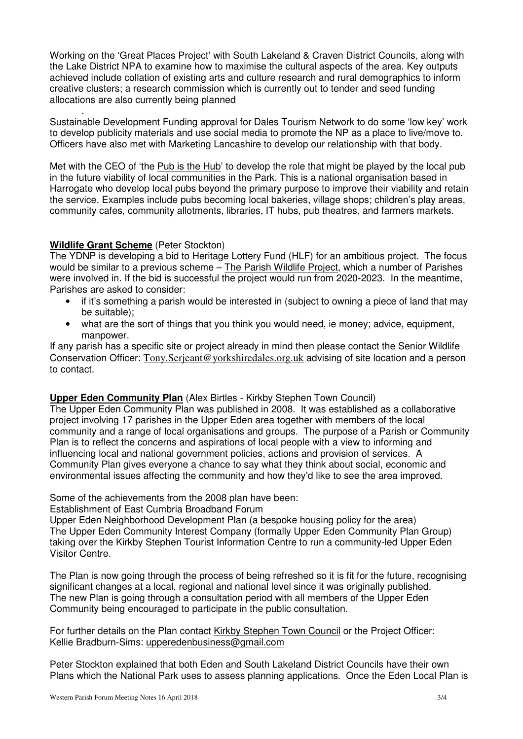Working on the 'Great Places Project' with South Lakeland & Craven District Councils, along with the Lake District NPA to examine how to maximise the cultural aspects of the area. Key outputs achieved include collation of existing arts and culture research and rural demographics to inform creative clusters; a research commission which is currently out to tender and seed funding allocations are also currently being planned

. Sustainable Development Funding approval for Dales Tourism Network to do some 'low key' work to develop publicity materials and use social media to promote the NP as a place to live/move to. Officers have also met with Marketing Lancashire to develop our relationship with that body.

Met with the CEO of 'the Pub is the Hub' to develop the role that might be played by the local pub in the future viability of local communities in the Park. This is a national organisation based in Harrogate who develop local pubs beyond the primary purpose to improve their viability and retain the service. Examples include pubs becoming local bakeries, village shops; children's play areas, community cafes, community allotments, libraries, IT hubs, pub theatres, and farmers markets.

## **Wildlife Grant Scheme** (Peter Stockton)

The YDNP is developing a bid to Heritage Lottery Fund (HLF) for an ambitious project. The focus would be similar to a previous scheme – The Parish Wildlife Project, which a number of Parishes were involved in. If the bid is successful the project would run from 2020-2023. In the meantime, Parishes are asked to consider:

- if it's something a parish would be interested in (subject to owning a piece of land that may be suitable);
- what are the sort of things that you think you would need, ie money; advice, equipment, manpower.

If any parish has a specific site or project already in mind then please contact the Senior Wildlife Conservation Officer: Tony.Serjeant@yorkshiredales.org.uk advising of site location and a person to contact.

# **Upper Eden Community Plan** (Alex Birtles - Kirkby Stephen Town Council)

The Upper Eden Community Plan was published in 2008. It was established as a collaborative project involving 17 parishes in the Upper Eden area together with members of the local community and a range of local organisations and groups. The purpose of a Parish or Community Plan is to reflect the concerns and aspirations of local people with a view to informing and influencing local and national government policies, actions and provision of services. A Community Plan gives everyone a chance to say what they think about social, economic and environmental issues affecting the community and how they'd like to see the area improved.

Some of the achievements from the 2008 plan have been:

Establishment of East Cumbria Broadband Forum

Upper Eden Neighborhood Development Plan (a bespoke housing policy for the area) The Upper Eden Community Interest Company (formally Upper Eden Community Plan Group) taking over the Kirkby Stephen Tourist Information Centre to run a community-led Upper Eden Visitor Centre.

The Plan is now going through the process of being refreshed so it is fit for the future, recognising significant changes at a local, regional and national level since it was originally published. The new Plan is going through a consultation period with all members of the Upper Eden Community being encouraged to participate in the public consultation.

For further details on the Plan contact Kirkby Stephen Town Council or the Project Officer: Kellie Bradburn-Sims: upperedenbusiness@gmail.com

Peter Stockton explained that both Eden and South Lakeland District Councils have their own Plans which the National Park uses to assess planning applications. Once the Eden Local Plan is